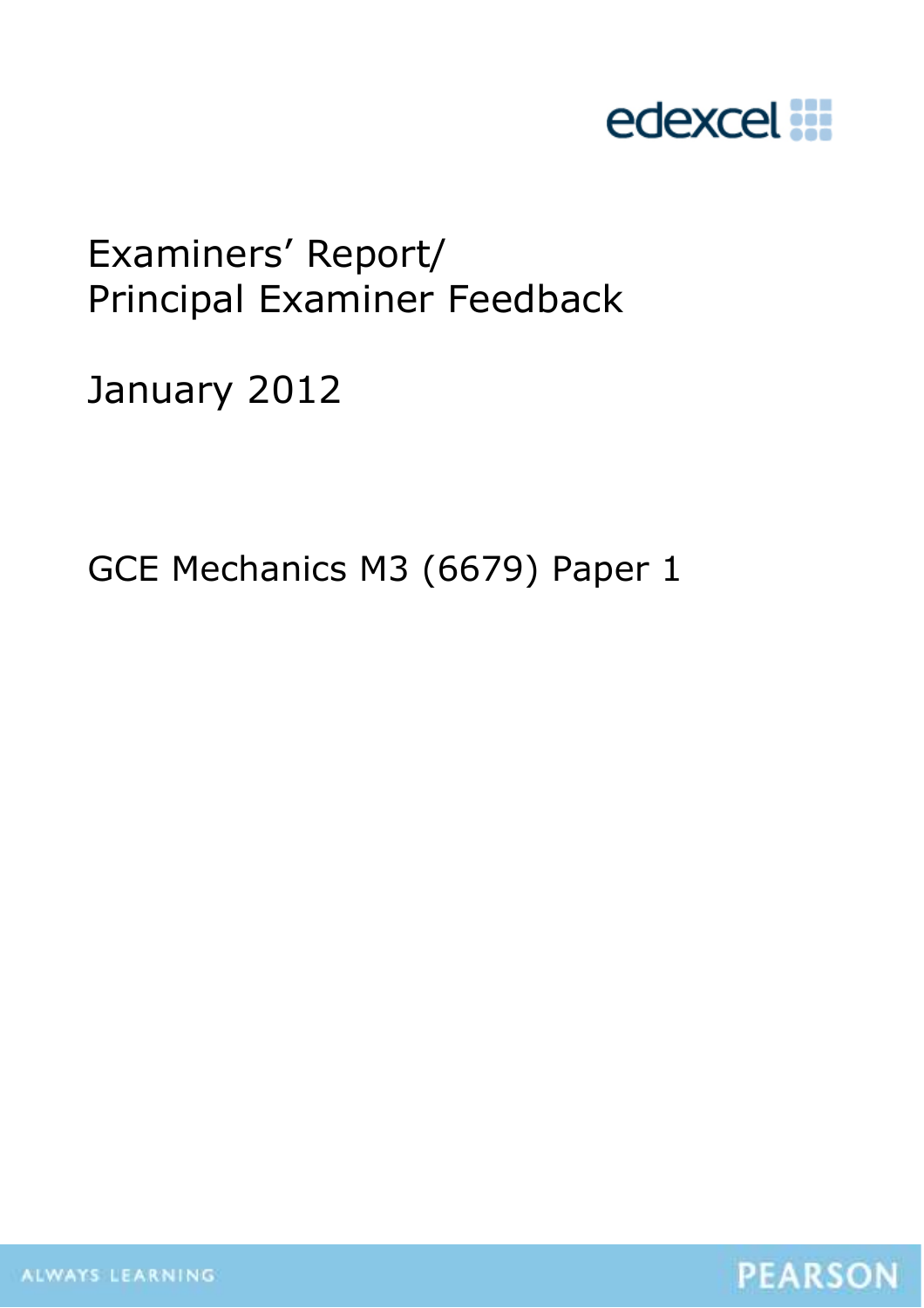

# Examiners' Report/ Principal Examiner Feedback

January 2012

GCE Mechanics M3 (6679) Paper 1



ALWAYS LEARNING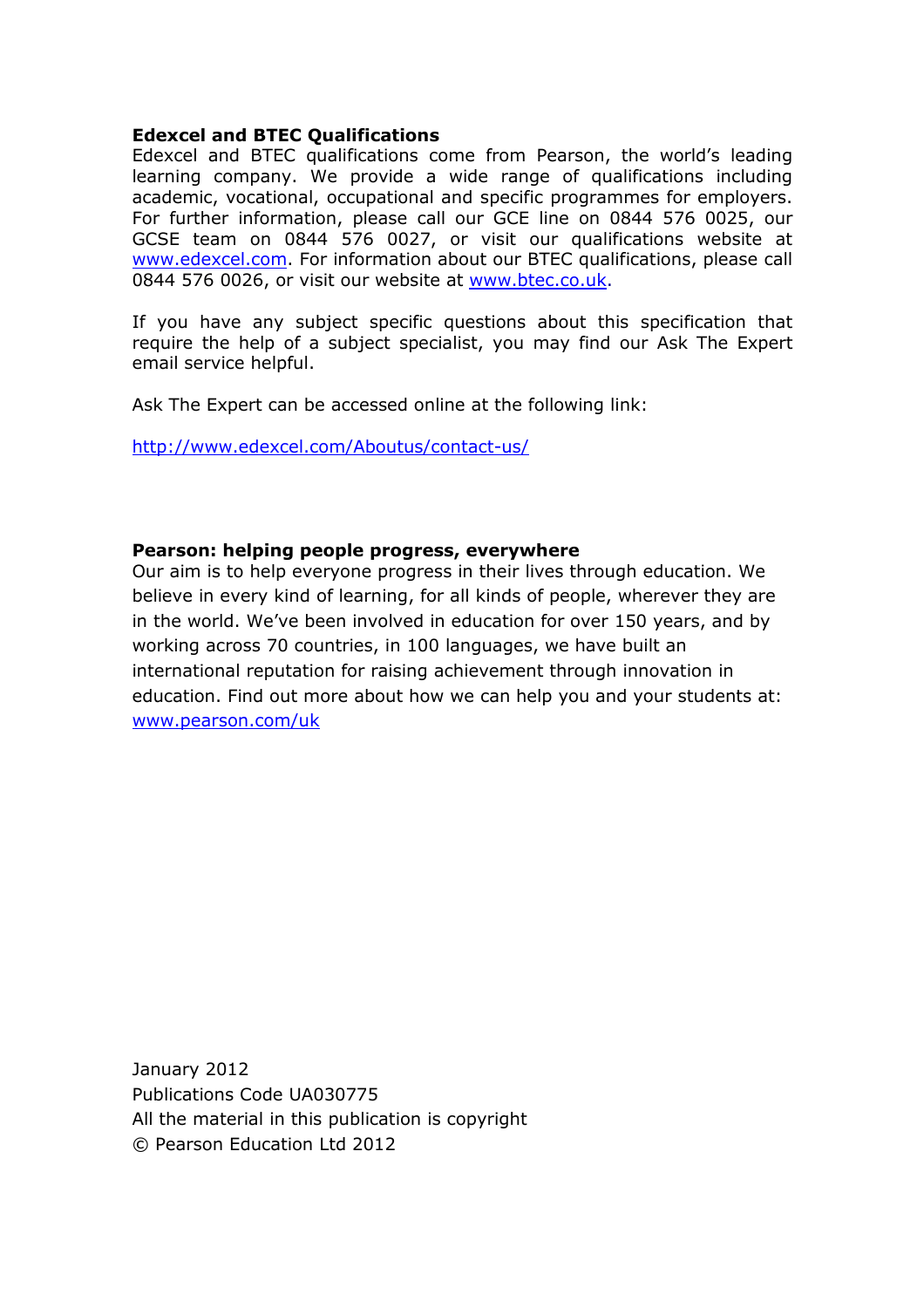#### **Edexcel and BTEC Qualifications**

Edexcel and BTEC qualifications come from Pearson, the world's leading learning company. We provide a wide range of qualifications including academic, vocational, occupational and specific programmes for employers. For further information, please call our GCE line on 0844 576 0025, our GCSE team on 0844 576 0027, or visit our qualifications website at www.edexcel.com. For information about our BTEC qualifications, please call 0844 576 0026, or visit our website at www.btec.co.uk.

If you have any subject specific questions about this specification that require the help of a subject specialist, you may find our Ask The Expert email service helpful.

Ask The Expert can be accessed online at the following link:

http://www.edexcel.com/Aboutus/contact-us/

#### **Pearson: helping people progress, everywhere**

Our aim is to help everyone progress in their lives through education. We believe in every kind of learning, for all kinds of people, wherever they are in the world. We've been involved in education for over 150 years, and by working across 70 countries, in 100 languages, we have built an international reputation for raising achievement through innovation in education. Find out more about how we can help you and your students at: www.pearson.com/uk

January 2012 Publications Code UA030775 All the material in this publication is copyright © Pearson Education Ltd 2012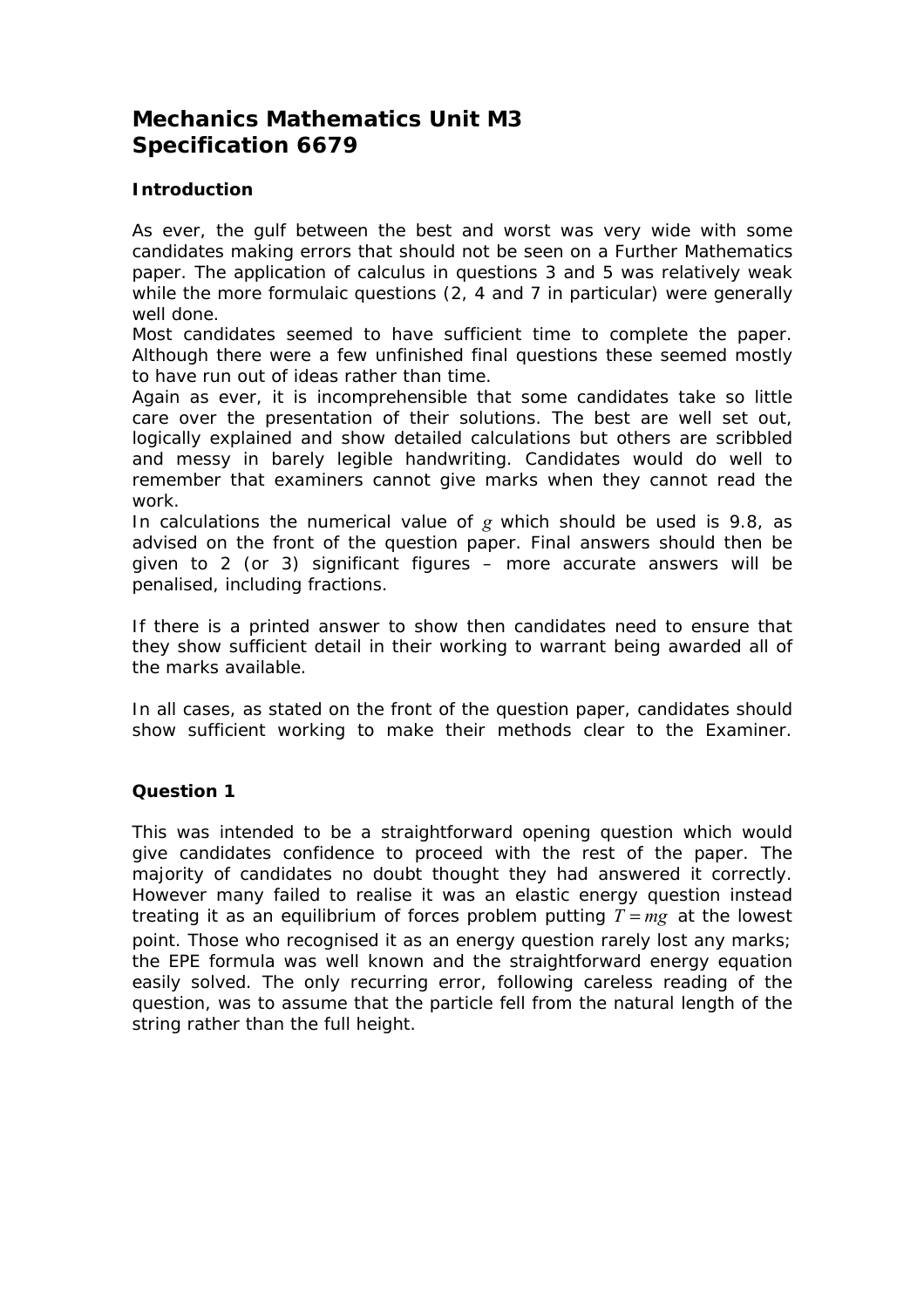# **Mechanics Mathematics Unit M3 Specification 6679**

#### **Introduction**

As ever, the gulf between the best and worst was very wide with some candidates making errors that should not be seen on a Further Mathematics paper. The application of calculus in questions 3 and 5 was relatively weak while the more formulaic questions (2, 4 and 7 in particular) were generally well done.

Most candidates seemed to have sufficient time to complete the paper. Although there were a few unfinished final questions these seemed mostly to have run out of ideas rather than time.

Again as ever, it is incomprehensible that some candidates take so little care over the presentation of their solutions. The best are well set out, logically explained and show detailed calculations but others are scribbled and messy in barely legible handwriting. Candidates would do well to remember that examiners cannot give marks when they cannot read the work.

In calculations the numerical value of *g* which should be used is 9.8, as advised on the front of the question paper. Final answers should then be given to 2 (or 3) significant figures – more accurate answers will be penalised, including fractions.

If there is a printed answer to show then candidates need to ensure that they show sufficient detail in their working to warrant being awarded all of the marks available.

In all cases, as stated on the front of the question paper, candidates should show sufficient working to make their methods clear to the Examiner.

#### **Question 1**

This was intended to be a straightforward opening question which would give candidates confidence to proceed with the rest of the paper. The majority of candidates no doubt thought they had answered it correctly. However many failed to realise it was an elastic energy question instead treating it as an equilibrium of forces problem putting  $T = mg$  at the lowest point. Those who recognised it as an energy question rarely lost any marks; the EPE formula was well known and the straightforward energy equation easily solved. The only recurring error, following careless reading of the question, was to assume that the particle fell from the natural length of the string rather than the full height.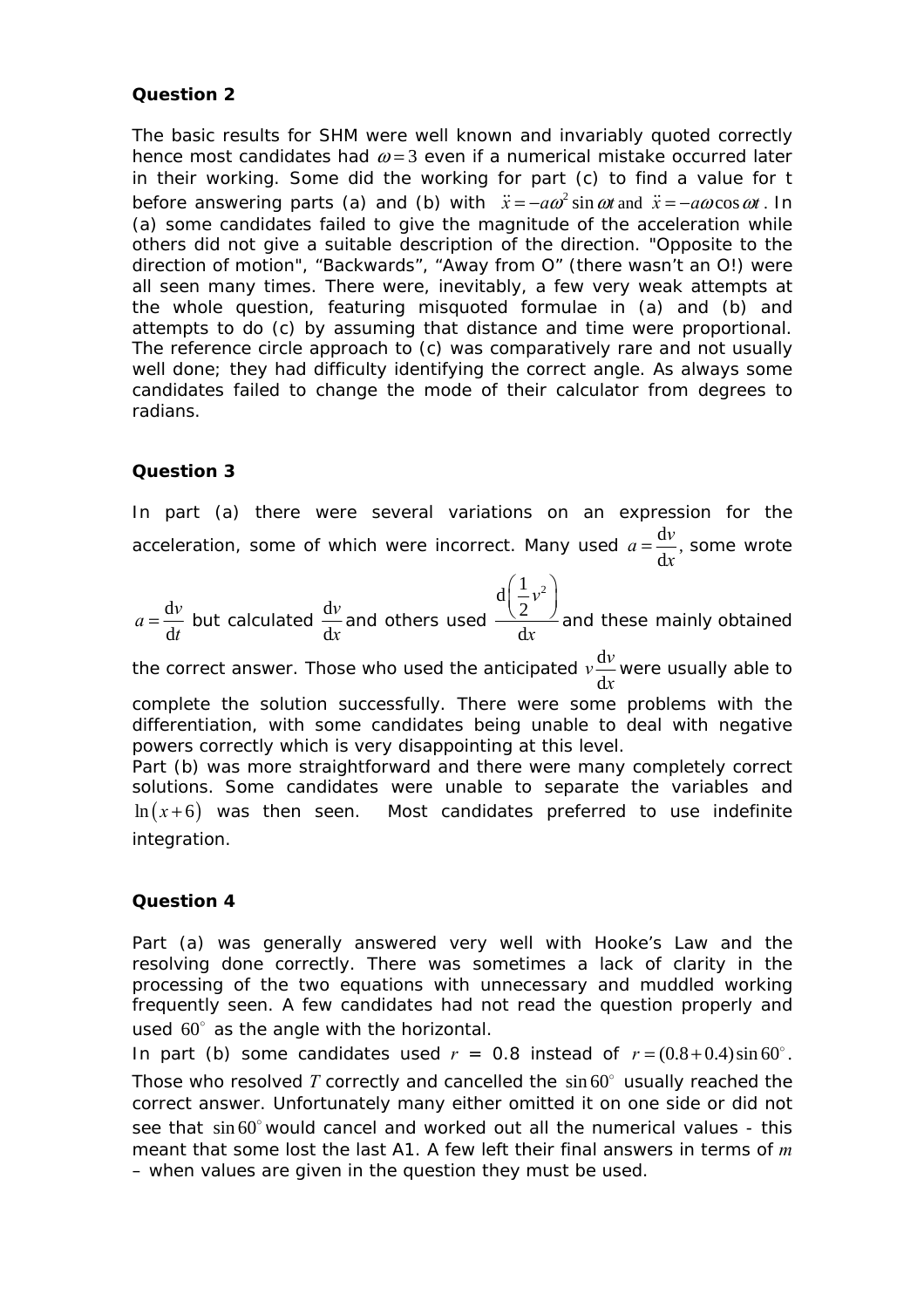#### **Question 2**

The basic results for SHM were well known and invariably quoted correctly hence most candidates had  $\omega = 3$  even if a numerical mistake occurred later in their working. Some did the working for part (c) to find a value for *t* before answering parts (a) and (b) with  $\ddot{x} = -a\omega^2 \sin \omega t$  and  $\ddot{x} = -a\omega \cos \omega t$ . In (a) some candidates failed to give the magnitude of the acceleration while others did not give a suitable description of the direction. "Opposite to the direction of motion", "Backwards", "Away from O" (there wasn't an O!) were all seen many times. There were, inevitably, a few very weak attempts at the whole question, featuring misquoted formulae in (a) and (b) and attempts to do (c) by assuming that distance and time were proportional. The reference circle approach to (c) was comparatively rare and not usually well done; they had difficulty identifying the correct angle. As always some candidates failed to change the mode of their calculator from degrees to radians.

#### **Question 3**

In part (a) there were several variations on an expression for the acceleration, some of which were incorrect. Many used  $a=\frac{d}{d}$ d  $a = \frac{dv}{dx}$ , some wrote

$$
a = \frac{dv}{dt}
$$
 but calculated  $\frac{dv}{dx}$  and others used  $\frac{d(\frac{1}{2}v^2)}{dx}$  and these mainly obtained

the correct answer. Those who used the anticipated  $v\frac{d}{dx}$ d  $v \frac{dv}{dt}$ *x* were usually able to

complete the solution successfully. There were some problems with the differentiation, with some candidates being unable to deal with negative powers correctly which is very disappointing at this level.

Part (b) was more straightforward and there were many completely correct solutions. Some candidates were unable to separate the variables and  $ln(x+6)$  was then seen. Most candidates preferred to use indefinite integration.

#### **Question 4**

Part (a) was generally answered very well with Hooke's Law and the resolving done correctly. There was sometimes a lack of clarity in the processing of the two equations with unnecessary and muddled working frequently seen. A few candidates had not read the question properly and used  $60^\circ$  as the angle with the horizontal.

In part (b) some candidates used  $r = 0.8$  instead of  $r = (0.8 + 0.4) \sin 60^\circ$ .

Those who resolved  $T$  correctly and cancelled the  $sin 60^\circ$  usually reached the correct answer. Unfortunately many either omitted it on one side or did not see that  $sin 60^\circ$  would cancel and worked out all the numerical values - this meant that some lost the last A1. A few left their final answers in terms of *m* – when values are given in the question they must be used.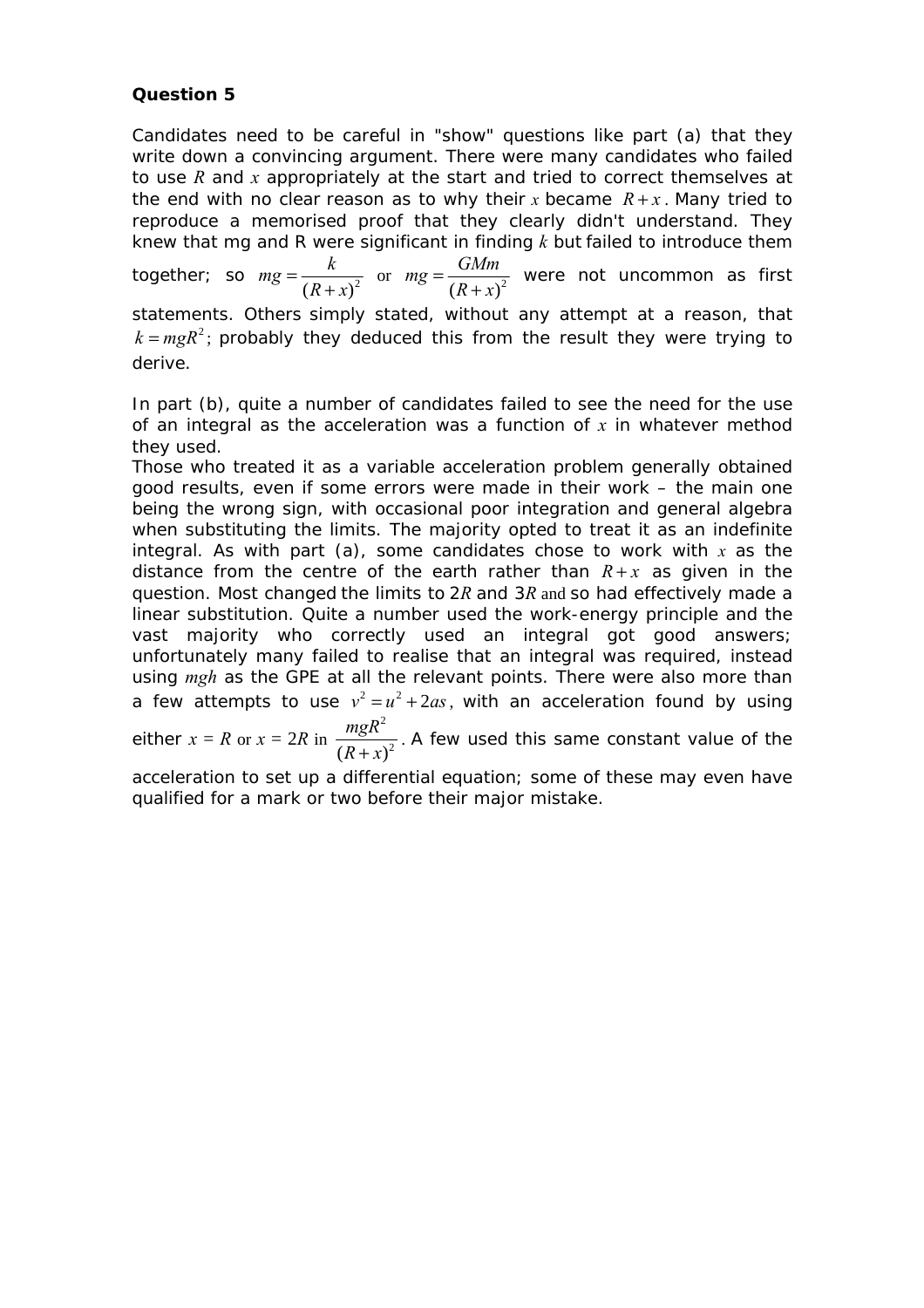#### **Question 5**

Candidates need to be careful in "show" questions like part (a) that they write down a convincing argument. There were many candidates who failed to use *R* and *x* appropriately at the start and tried to correct themselves at the end with no clear reason as to why their *x* became  $R + x$ . Many tried to reproduce a memorised proof that they clearly didn't understand. They knew that *mg* and *R* were significant in finding *k* but failed to introduce them together; so  $mg = \frac{k}{(R+x)^2}$  $mg = \frac{k}{(R+x)^2}$  or  $mg = \frac{GMm}{(R+x)^2}$  $mg = \frac{GMm}{(R+x)^2}$  were not uncommon as first statements. Others simply stated, without any attempt at a reason, that  $k = mgR<sup>2</sup>$ ; probably they deduced this from the result they were trying to derive.

In part (b), quite a number of candidates failed to see the need for the use of an integral as the acceleration was a function of *x* in whatever method they used.

Those who treated it as a variable acceleration problem generally obtained good results, even if some errors were made in their work – the main one being the wrong sign, with occasional poor integration and general algebra when substituting the limits. The majority opted to treat it as an indefinite integral. As with part (a), some candidates chose to work with *x* as the distance from the centre of the earth rather than  $R + x$  as given in the question. Most changed the limits to 2*R* and 3*R* and so had effectively made a linear substitution. Quite a number used the work-energy principle and the vast majority who correctly used an integral got good answers; unfortunately many failed to realise that an integral was required, instead using *mgh* as the GPE at all the relevant points. There were also more than a few attempts to use  $v^2 = u^2 + 2as$ , with an acceleration found by using 2

either  $x = R$  or  $x = 2R$  in  $(R + x)^2$ *mgR*  $\frac{m_{\mathcal{S}}R}{(R+x)^2}$ . A few used this same constant value of the

acceleration to set up a differential equation; some of these may even have qualified for a mark or two before their major mistake.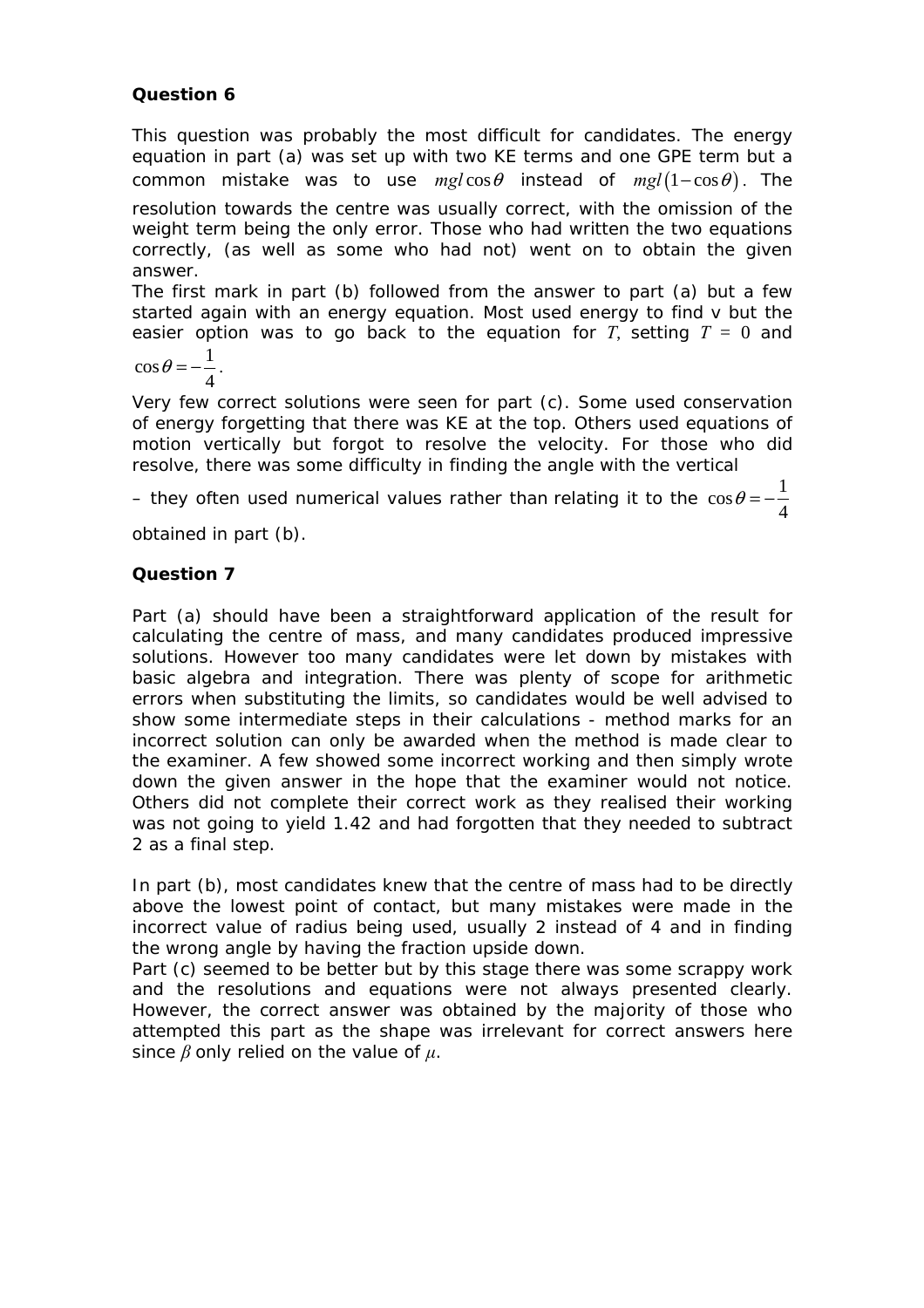## **Question 6**

This question was probably the most difficult for candidates. The energy equation in part (a) was set up with two KE terms and one GPE term but a common mistake was to use  $mgl\cos\theta$  instead of  $mgl(1-\cos\theta)$ . The resolution towards the centre was usually correct, with the omission of the weight term being the only error. Those who had written the two equations correctly, (as well as some who had not) went on to obtain the given answer.

The first mark in part (b) followed from the answer to part (a) but a few started again with an energy equation. Most used energy to find *v* but the easier option was to go back to the equation for  $T$ , setting  $T = 0$  and

$$
\cos\theta = -\frac{1}{4}.
$$

Very few correct solutions were seen for part (c). Some used conservation of energy forgetting that there was KE at the top. Others used equations of motion vertically but forgot to resolve the velocity. For those who did resolve, there was some difficulty in finding the angle with the vertical

– they often used numerical values rather than relating it to the  $\cos\theta\!=\!-\!\frac{1}{\tau}$ 4  $\theta = -$ 

obtained in part (b).

## **Question 7**

Part (a) should have been a straightforward application of the result for calculating the centre of mass, and many candidates produced impressive solutions. However too many candidates were let down by mistakes with basic algebra and integration. There was plenty of scope for arithmetic errors when substituting the limits, so candidates would be well advised to show some intermediate steps in their calculations - method marks for an incorrect solution can only be awarded when the method is made clear to the examiner. A few showed some incorrect working and then simply wrote down the given answer in the hope that the examiner would not notice. Others did not complete their correct work as they realised their working was not going to yield 1.42 and had forgotten that they needed to subtract 2 as a final step.

In part (b), most candidates knew that the centre of mass had to be directly above the lowest point of contact, but many mistakes were made in the incorrect value of radius being used, usually 2 instead of 4 and in finding the wrong angle by having the fraction upside down.

Part (c) seemed to be better but by this stage there was some scrappy work and the resolutions and equations were not always presented clearly. However, the correct answer was obtained by the majority of those who attempted this part as the shape was irrelevant for correct answers here since *β* only relied on the value of *µ*.